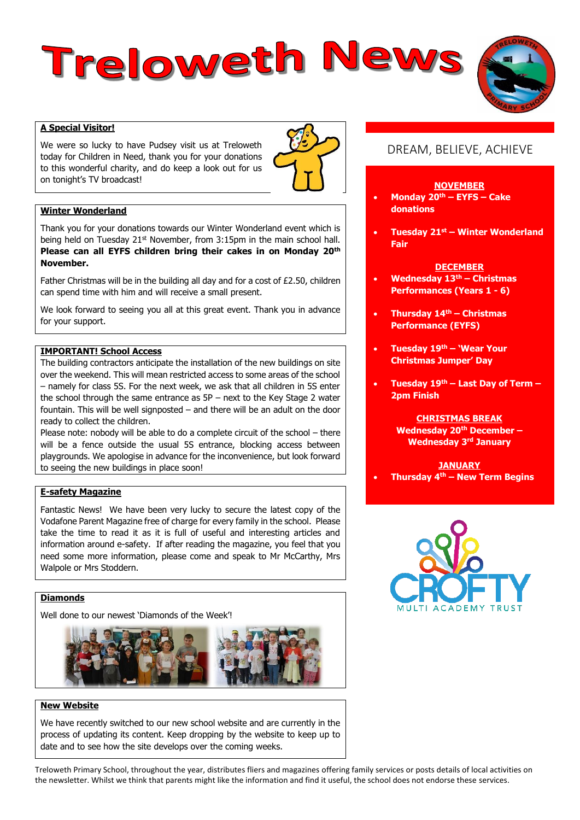# Treloweth News



We were so lucky to have Pudsey visit us at Treloweth today for Children in Need, thank you for your donations to this wonderful charity, and do keep a look out for us on tonight's TV broadcast!



# **Winter Wonderland**

Thank you for your donations towards our Winter Wonderland event which is being held on Tuesday 21st November, from 3:15pm in the main school hall. **Please can all EYFS children bring their cakes in on Monday 20th November.**

Father Christmas will be in the building all day and for a cost of £2.50, children can spend time with him and will receive a small present.

We look forward to seeing you all at this great event. Thank you in advance for your support.

#### **IMPORTANT! School Access**

The building contractors anticipate the installation of the new buildings on site over the weekend. This will mean restricted access to some areas of the school – namely for class 5S. For the next week, we ask that all children in 5S enter the school through the same entrance as  $5P$  – next to the Key Stage 2 water fountain. This will be well signposted – and there will be an adult on the door ready to collect the children.

Please note: nobody will be able to do a complete circuit of the school – there will be a fence outside the usual 5S entrance, blocking access between playgrounds. We apologise in advance for the inconvenience, but look forward to seeing the new buildings in place soon!

# **E-safety Magazine**

Fantastic News! We have been very lucky to secure the latest copy of the Vodafone Parent Magazine free of charge for every family in the school. Please take the time to read it as it is full of useful and interesting articles and information around e-safety. If after reading the magazine, you feel that you need some more information, please come and speak to Mr McCarthy, Mrs Walpole or Mrs Stoddern.

# **Diamonds**

Well done to our newest 'Diamonds of the Week'!



#### **New Website**

We have recently switched to our new school website and are currently in the process of updating its content. Keep dropping by the website to keep up to date and to see how the site develops over the coming weeks.

# DREAM, BELIEVE, ACHIEVE

#### **NOVEMBER**

- **Monday 20th – EYFS – Cake donations**
- **Tuesday 21st – Winter Wonderland Fair**

#### **DECEMBER**

- **Wednesday 13th – Christmas Performances (Years 1 - 6)**
- **Thursday 14th – Christmas Performance (EYFS)**
- **Tuesday 19th – 'Wear Your Christmas Jumper' Day**
- **Tuesday 19th – Last Day of Term – 2pm Finish**

# **CHRISTMAS BREAK**

**Wednesday 20th December – Wednesday 3rd January**

#### **JANUARY Thursday 4th – New Term Begins**



Treloweth Primary School, throughout the year, distributes fliers and magazines offering family services or posts details of local activities on the newsletter. Whilst we think that parents might like the information and find it useful, the school does not endorse these services.